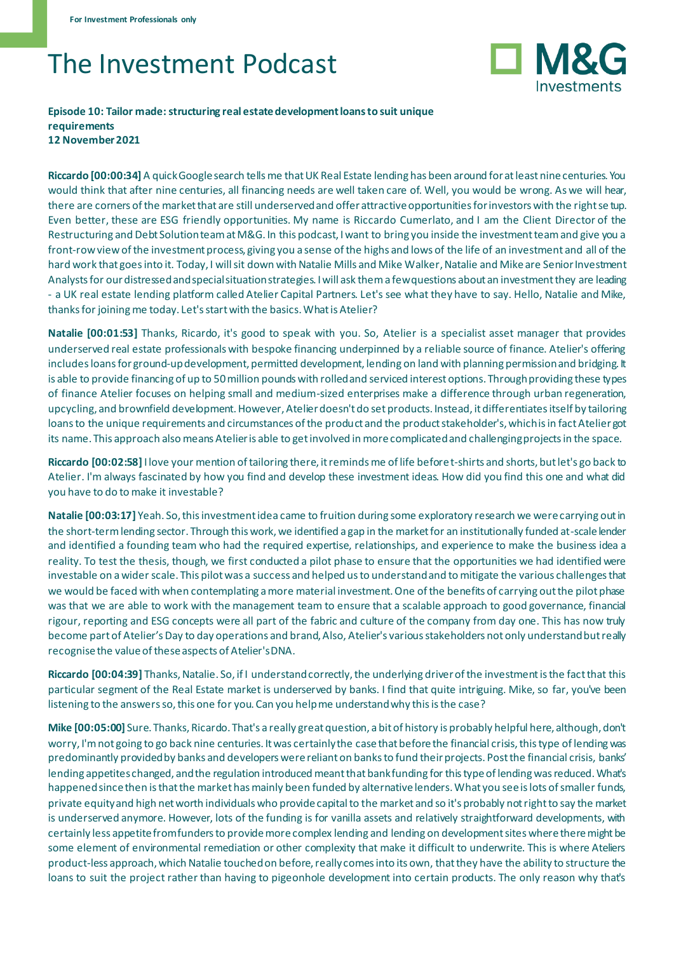## The Investment Podcast



## **Episode 10: Tailor made: structuring real estate development loans to suit unique requirements 12 November 2021**

**Riccardo [00:00:34]** A quick Google search tells me that UK Real Estate lending has been around for at least nine centuries. You would think that after nine centuries, all financing needs are well taken care of. Well, you would be wrong. As we will hear, there are corners of the market that are still underserved and offer attractive opportunities for investors with the right se tup. Even better, these are ESG friendly opportunities. My name is Riccardo Cumerlato, and I am the Client Director of the Restructuring and Debt Solution team at M&G. In this podcast, I want to bring you inside the investment team and give you a front-row view of the investment process, giving you a sense of the highs and lows of the life of an investment and all of the hard work that goes into it. Today, I will sit down with Natalie Mills and Mike Walker, Natalie and Mike are Senior Investment Analysts for our distressed and special situation strategies. I will ask them a few questions about an investment they are leading - a UK real estate lending platform called Atelier Capital Partners. Let's see what they have to say. Hello, Natalie and Mike, thanks for joining me today. Let's start with the basics. What is Atelier?

**Natalie [00:01:53]** Thanks, Ricardo, it's good to speak with you. So, Atelier is a specialist asset manager that provides underserved real estate professionals with bespoke financing underpinned by a reliable source of finance. Atelier's offering includes loans for ground-up development, permitted development, lending on land with planning permission and bridging. It is able to provide financing of up to 50 million pounds with rolled and serviced interest options. Through providing these types of finance Atelier focuses on helping small and medium-sized enterprises make a difference through urban regeneration, upcycling, and brownfield development. However, Atelier doesn't do set products. Instead, it differentiates itself by tailoring loans to the unique requirements and circumstances of the product and the product stakeholder's, which is in fact Atelier got its name. This approach also means Atelier is able to get involved in more complicated and challenging projects in the space.

**Riccardo [00:02:58]** I love your mention of tailoring there, it reminds me of life before t-shirts and shorts, but let's go back to Atelier. I'm always fascinated by how you find and develop these investment ideas. How did you find this one and what did you have to do to make it investable?

**Natalie [00:03:17]** Yeah. So,this investment idea came to fruition during some exploratory research we were carrying out in the short-term lending sector. Through this work, we identified a gap in the market for an institutionally funded at-scale lender and identified a founding team who had the required expertise, relationships, and experience to make the business idea a reality. To test the thesis, though, we first conducted a pilot phase to ensure that the opportunities we had identified were investable on a wider scale. This pilot was a success and helped us to understand and to mitigate the various challenges that we would be faced with when contemplating a more material investment. One of the benefits of carrying out the pilot phase was that we are able to work with the management team to ensure that a scalable approach to good governance, financial rigour, reporting and ESG concepts were all part of the fabric and culture of the company from day one. This has now truly become part of Atelier's Day to day operations and brand, Also, Atelier's various stakeholders not only understand but really recognise the value of these aspects of Atelier's DNA.

**Riccardo [00:04:39]** Thanks, Natalie. So, if I understand correctly, the underlying driver of the investment is the fact that this particular segment of the Real Estate market is underserved by banks. I find that quite intriguing. Mike, so far, you've been listening to the answers so, this one for you. Can you help me understand why this is the case?

**Mike [00:05:00]** Sure. Thanks, Ricardo. That's a really great question, a bit of history is probably helpful here, although, don't worry, I'm not going to go back nine centuries. It was certainly the case that before the financial crisis, this type of lending was predominantly provided by banks and developers were reliant on banks to fund their projects. Post the financial crisis, banks' lending appetites changed, and the regulation introduced meant that bank funding for this type of lending was reduced. What's happened since then is that the market has mainly been funded by alternative lenders. What you see is lots of smaller funds, private equity and high net worth individuals who provide capital to the market and so it's probably not right to say the market is underserved anymore. However, lots of the funding is for vanilla assets and relatively straightforward developments, with certainly less appetite from funders to provide more complex lending and lending on development sites where there might be some element of environmental remediation or other complexity that make it difficult to underwrite. This is where Ateliers product-less approach, which Natalie touched on before, really comes into its own, that they have the ability to structure the loans to suit the project rather than having to pigeonhole development into certain products. The only reason why that's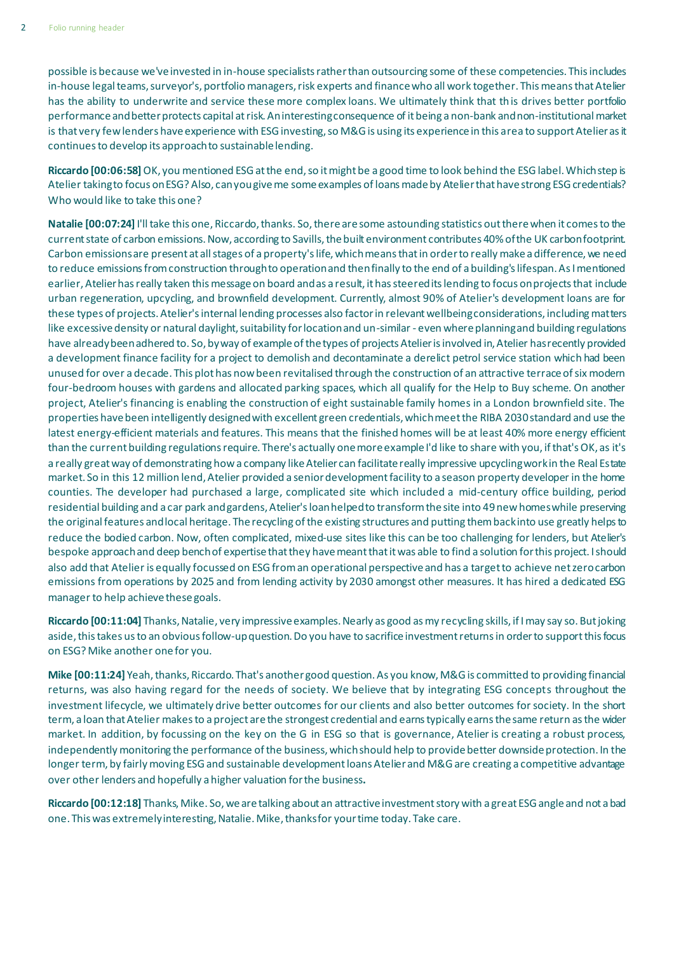possible is because we've invested in in-house specialists rather than outsourcing some of these competencies. This includes in-house legal teams, surveyor's, portfolio managers, risk experts and finance who all work together. This means that Atelier has the ability to underwrite and service these more complex loans. We ultimately think that this drives better portfolio performance and better protects capital at risk. An interesting consequence of it being a non-bank and non-institutional market is that very few lenders have experience with ESG investing, so M&G is using its experience in this area to support Atelier as it continues to develop its approach to sustainable lending.

**Riccardo [00:06:58]** OK, you mentioned ESG at the end, so it might be a good time to look behind the ESG label. Which step is Atelier taking to focus on ESG? Also, can you give me some examples of loans made by Atelier that have strong ESG credentials? Who would like to take this one?

**Natalie [00:07:24]** I'll take this one, Riccardo, thanks. So, there are some astounding statistics out there when it comes to the current state of carbon emissions. Now, according to Savills, the built environment contributes 40% of the UK carbon footprint. Carbon emissions are present at all stages of a property's life, which means that in order to really make a difference, we need to reduce emissions from construction through to operation and then finally to the end of a building's lifespan. As I mentioned earlier, Atelier has really taken this message on board and as a result, it has steered its lending to focus on projects that include urban regeneration, upcycling, and brownfield development. Currently, almost 90% of Atelier's development loans are for these types of projects. Atelier's internal lending processes also factor in relevant wellbeing considerations, including matters like excessive density or natural daylight, suitability for location and un-similar - even where planning and building regulations have already been adhered to. So, by way of example of the types of projects Atelier is involved in, Atelier has recently provided a development finance facility for a project to demolish and decontaminate a derelict petrol service station which had been unused for over a decade. This plot has now been revitalised through the construction of an attractive terrace of six modern four-bedroom houses with gardens and allocated parking spaces, which all qualify for the Help to Buy scheme. On another project, Atelier's financing is enabling the construction of eight sustainable family homes in a London brownfield site. The properties have been intelligently designed with excellent green credentials, which meet the RIBA 2030 standard and use the latest energy-efficient materials and features. This means that the finished homes will be at least 40% more energy efficient than the current building regulations require. There's actually one more example I'd like to share with you, if that's OK, as it's a really great way of demonstrating how a company like Atelier can facilitate really impressive upcycling work in the Real Estate market. So in this 12 million lend, Atelier provided a senior development facility to a season property developer in the home counties. The developer had purchased a large, complicated site which included a mid-century office building, period residential building and a car park and gardens, Atelier's loan helped to transform the site into 49 new homes while preserving the original features and local heritage. The recycling of the existing structures and putting them back into use greatly helps to reduce the bodied carbon. Now, often complicated, mixed-use sites like this can be too challenging for lenders, but Atelier's bespoke approach and deep bench of expertise that they have meant that it was able to find a solution for this project. I should also add that Atelier is equally focussed on ESG from an operational perspective and has a target to achieve net zero carbon emissions from operations by 2025 and from lending activity by 2030 amongst other measures. It has hired a dedicated ESG manager to help achieve these goals.

**Riccardo [00:11:04]** Thanks, Natalie, very impressive examples. Nearly as good as my recycling skills, if I may say so. But joking aside, this takes us to an obvious follow-up question. Do you have to sacrifice investment returns in order to support this focus on ESG? Mike another one for you.

**Mike [00:11:24]** Yeah, thanks, Riccardo. That's another good question. As you know, M&G is committed to providing financial returns, was also having regard for the needs of society. We believe that by integrating ESG concepts throughout the investment lifecycle, we ultimately drive better outcomes for our clients and also better outcomes for society. In the short term, a loan that Atelier makes to a project are the strongest credential and earns typically earns the same return as the wider market. In addition, by focussing on the key on the G in ESG so that is governance, Atelier is creating a robust process, independently monitoring the performance of the business, which should help to provide better downside protection. In the longer term, by fairly moving ESG and sustainable development loans Atelier and M&G are creating a competitive advantage over other lenders and hopefully a higher valuation for the business**.** 

**Riccardo [00:12:18]** Thanks, Mike. So,we are talking about an attractive investment story with a great ESG angle and not a bad one. This was extremely interesting, Natalie. Mike, thanks for your time today. Take care.